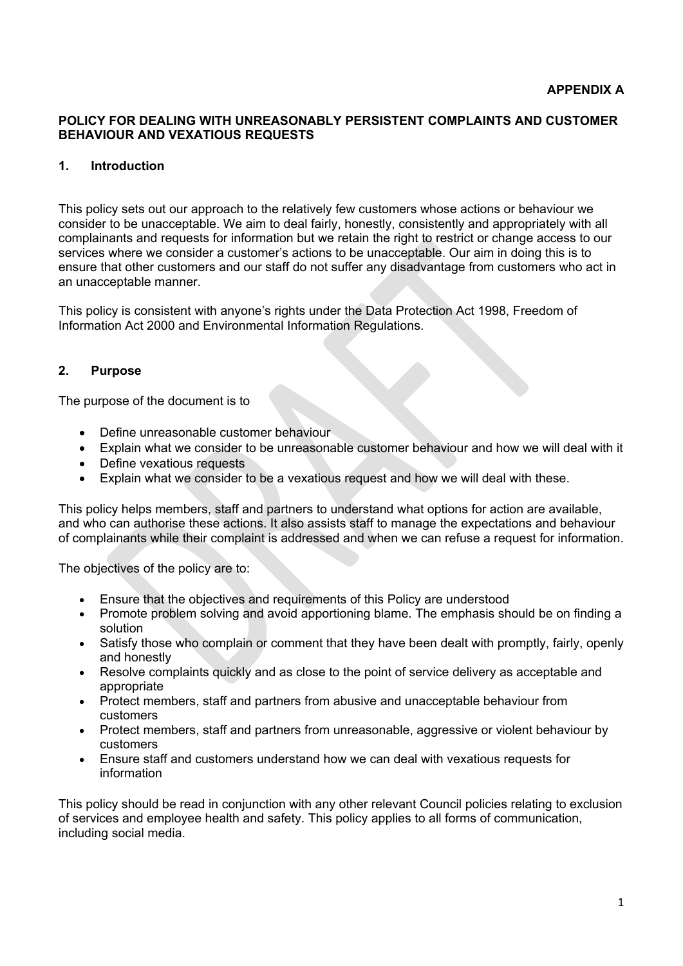### **POLICY FOR DEALING WITH UNREASONABLY PERSISTENT COMPLAINTS AND CUSTOMER BEHAVIOUR AND VEXATIOUS REQUESTS**

### **1. Introduction**

This policy sets out our approach to the relatively few customers whose actions or behaviour we consider to be unacceptable. We aim to deal fairly, honestly, consistently and appropriately with all complainants and requests for information but we retain the right to restrict or change access to our services where we consider a customer's actions to be unacceptable. Our aim in doing this is to ensure that other customers and our staff do not suffer any disadvantage from customers who act in an unacceptable manner.

This policy is consistent with anyone's rights under the Data Protection Act 1998, Freedom of Information Act 2000 and Environmental Information Regulations.

### **2. Purpose**

The purpose of the document is to

- Define unreasonable customer behaviour
- Explain what we consider to be unreasonable customer behaviour and how we will deal with it
- Define vexatious requests
- Explain what we consider to be a vexatious request and how we will deal with these.

This policy helps members, staff and partners to understand what options for action are available, and who can authorise these actions. It also assists staff to manage the expectations and behaviour of complainants while their complaint is addressed and when we can refuse a request for information.

The objectives of the policy are to:

- Ensure that the objectives and requirements of this Policy are understood
- Promote problem solving and avoid apportioning blame. The emphasis should be on finding a solution
- Satisfy those who complain or comment that they have been dealt with promptly, fairly, openly and honestly
- Resolve complaints quickly and as close to the point of service delivery as acceptable and appropriate
- Protect members, staff and partners from abusive and unacceptable behaviour from customers
- Protect members, staff and partners from unreasonable, aggressive or violent behaviour by customers
- Ensure staff and customers understand how we can deal with vexatious requests for information

This policy should be read in conjunction with any other relevant Council policies relating to exclusion of services and employee health and safety. This policy applies to all forms of communication, including social media.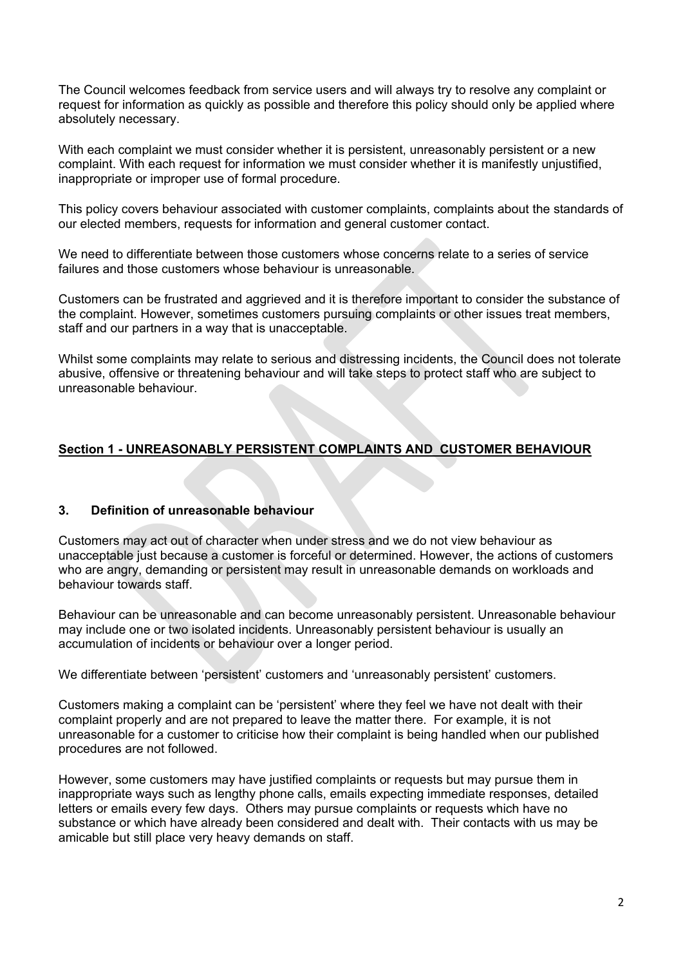The Council welcomes feedback from service users and will always try to resolve any complaint or request for information as quickly as possible and therefore this policy should only be applied where absolutely necessary.

With each complaint we must consider whether it is persistent, unreasonably persistent or a new complaint. With each request for information we must consider whether it is manifestly unjustified, inappropriate or improper use of formal procedure.

This policy covers behaviour associated with customer complaints, complaints about the standards of our elected members, requests for information and general customer contact.

We need to differentiate between those customers whose concerns relate to a series of service failures and those customers whose behaviour is unreasonable.

Customers can be frustrated and aggrieved and it is therefore important to consider the substance of the complaint. However, sometimes customers pursuing complaints or other issues treat members, staff and our partners in a way that is unacceptable.

Whilst some complaints may relate to serious and distressing incidents, the Council does not tolerate abusive, offensive or threatening behaviour and will take steps to protect staff who are subject to unreasonable behaviour.

# **Section 1 - UNREASONABLY PERSISTENT COMPLAINTS AND CUSTOMER BEHAVIOUR**

#### **3. Definition of unreasonable behaviour**

Customers may act out of character when under stress and we do not view behaviour as unacceptable just because a customer is forceful or determined. However, the actions of customers who are angry, demanding or persistent may result in unreasonable demands on workloads and behaviour towards staff.

Behaviour can be unreasonable and can become unreasonably persistent. Unreasonable behaviour may include one or two isolated incidents. Unreasonably persistent behaviour is usually an accumulation of incidents or behaviour over a longer period.

We differentiate between 'persistent' customers and 'unreasonably persistent' customers.

Customers making a complaint can be 'persistent' where they feel we have not dealt with their complaint properly and are not prepared to leave the matter there. For example, it is not unreasonable for a customer to criticise how their complaint is being handled when our published procedures are not followed.

However, some customers may have justified complaints or requests but may pursue them in inappropriate ways such as lengthy phone calls, emails expecting immediate responses, detailed letters or emails every few days. Others may pursue complaints or requests which have no substance or which have already been considered and dealt with. Their contacts with us may be amicable but still place very heavy demands on staff.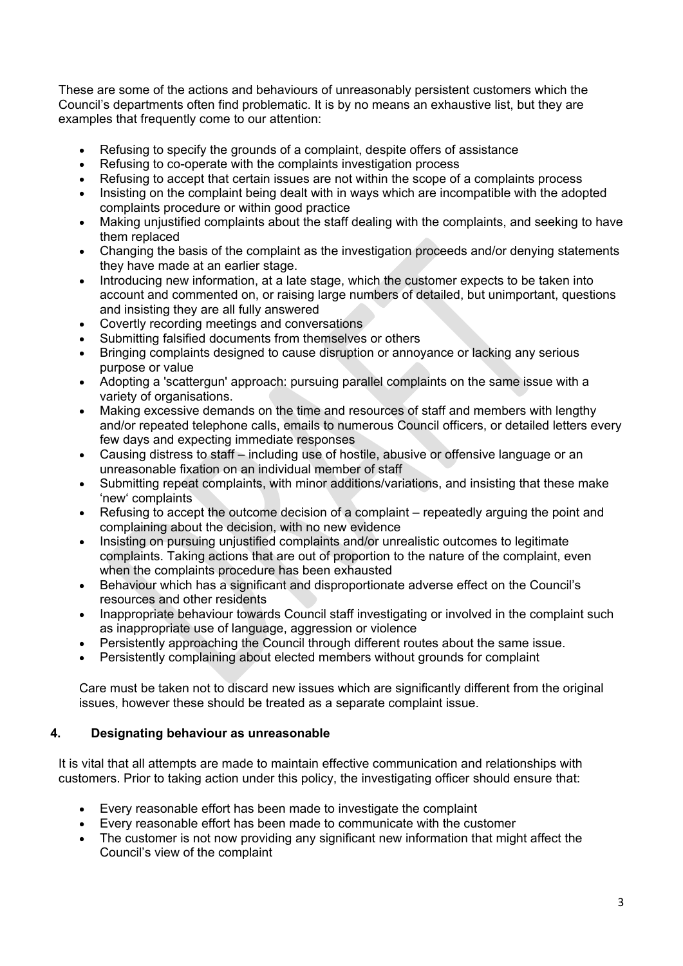These are some of the actions and behaviours of unreasonably persistent customers which the Council's departments often find problematic. It is by no means an exhaustive list, but they are examples that frequently come to our attention:

- Refusing to specify the grounds of a complaint, despite offers of assistance
- Refusing to co-operate with the complaints investigation process
- Refusing to accept that certain issues are not within the scope of a complaints process
- Insisting on the complaint being dealt with in ways which are incompatible with the adopted complaints procedure or within good practice
- Making unjustified complaints about the staff dealing with the complaints, and seeking to have them replaced
- Changing the basis of the complaint as the investigation proceeds and/or denying statements they have made at an earlier stage.
- Introducing new information, at a late stage, which the customer expects to be taken into account and commented on, or raising large numbers of detailed, but unimportant, questions and insisting they are all fully answered
- Covertly recording meetings and conversations
- Submitting falsified documents from themselves or others
- Bringing complaints designed to cause disruption or annoyance or lacking any serious purpose or value
- Adopting a 'scattergun' approach: pursuing parallel complaints on the same issue with a variety of organisations.
- Making excessive demands on the time and resources of staff and members with lengthy and/or repeated telephone calls, emails to numerous Council officers, or detailed letters every few days and expecting immediate responses
- Causing distress to staff including use of hostile, abusive or offensive language or an unreasonable fixation on an individual member of staff
- Submitting repeat complaints, with minor additions/variations, and insisting that these make 'new' complaints
- Refusing to accept the outcome decision of a complaint repeatedly arguing the point and complaining about the decision, with no new evidence
- Insisting on pursuing unjustified complaints and/or unrealistic outcomes to legitimate complaints. Taking actions that are out of proportion to the nature of the complaint, even when the complaints procedure has been exhausted
- Behaviour which has a significant and disproportionate adverse effect on the Council's resources and other residents
- Inappropriate behaviour towards Council staff investigating or involved in the complaint such as inappropriate use of language, aggression or violence
- Persistently approaching the Council through different routes about the same issue.
- Persistently complaining about elected members without grounds for complaint

Care must be taken not to discard new issues which are significantly different from the original issues, however these should be treated as a separate complaint issue.

# **4. Designating behaviour as unreasonable**

It is vital that all attempts are made to maintain effective communication and relationships with customers. Prior to taking action under this policy, the investigating officer should ensure that:

- Every reasonable effort has been made to investigate the complaint
- Every reasonable effort has been made to communicate with the customer
- The customer is not now providing any significant new information that might affect the Council's view of the complaint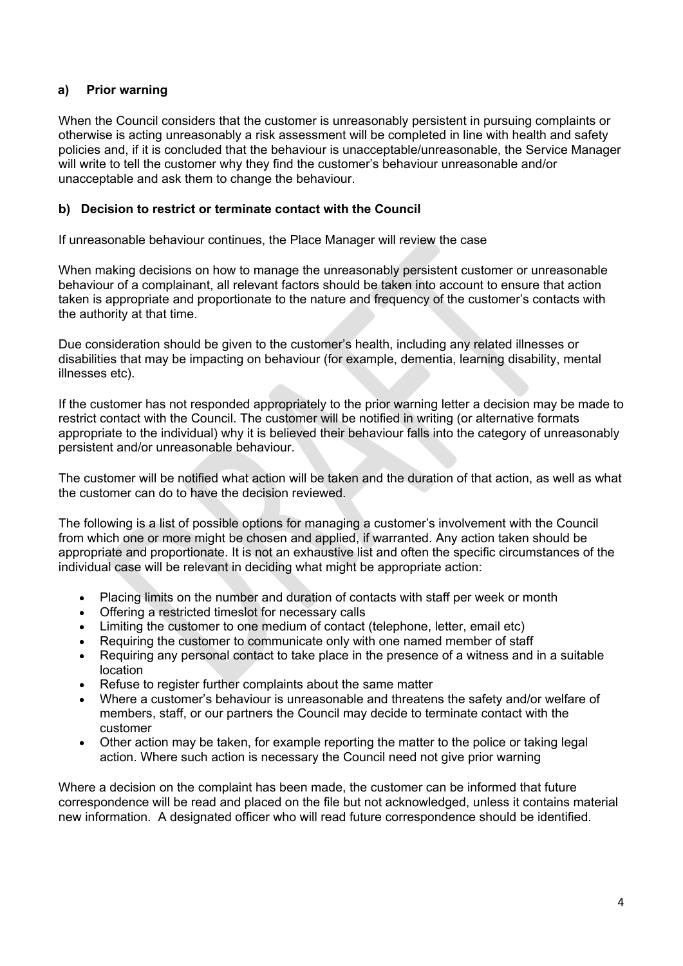# **a) Prior warning**

When the Council considers that the customer is unreasonably persistent in pursuing complaints or otherwise is acting unreasonably a risk assessment will be completed in line with health and safety policies and, if it is concluded that the behaviour is unacceptable/unreasonable, the Service Manager will write to tell the customer why they find the customer's behaviour unreasonable and/or unacceptable and ask them to change the behaviour.

### **b) Decision to restrict or terminate contact with the Council**

If unreasonable behaviour continues, the Place Manager will review the case

When making decisions on how to manage the unreasonably persistent customer or unreasonable behaviour of a complainant, all relevant factors should be taken into account to ensure that action taken is appropriate and proportionate to the nature and frequency of the customer's contacts with the authority at that time.

Due consideration should be given to the customer's health, including any related illnesses or disabilities that may be impacting on behaviour (for example, dementia, learning disability, mental illnesses etc).

If the customer has not responded appropriately to the prior warning letter a decision may be made to restrict contact with the Council. The customer will be notified in writing (or alternative formats appropriate to the individual) why it is believed their behaviour falls into the category of unreasonably persistent and/or unreasonable behaviour.

The customer will be notified what action will be taken and the duration of that action, as well as what the customer can do to have the decision reviewed.

The following is a list of possible options for managing a customer's involvement with the Council from which one or more might be chosen and applied, if warranted. Any action taken should be appropriate and proportionate. It is not an exhaustive list and often the specific circumstances of the individual case will be relevant in deciding what might be appropriate action:

- Placing limits on the number and duration of contacts with staff per week or month
- Offering a restricted timeslot for necessary calls
- Limiting the customer to one medium of contact (telephone, letter, email etc)
- Requiring the customer to communicate only with one named member of staff
- Requiring any personal contact to take place in the presence of a witness and in a suitable location
- Refuse to register further complaints about the same matter
- Where a customer's behaviour is unreasonable and threatens the safety and/or welfare of members, staff, or our partners the Council may decide to terminate contact with the customer
- Other action may be taken, for example reporting the matter to the police or taking legal action. Where such action is necessary the Council need not give prior warning

Where a decision on the complaint has been made, the customer can be informed that future correspondence will be read and placed on the file but not acknowledged, unless it contains material new information. A designated officer who will read future correspondence should be identified.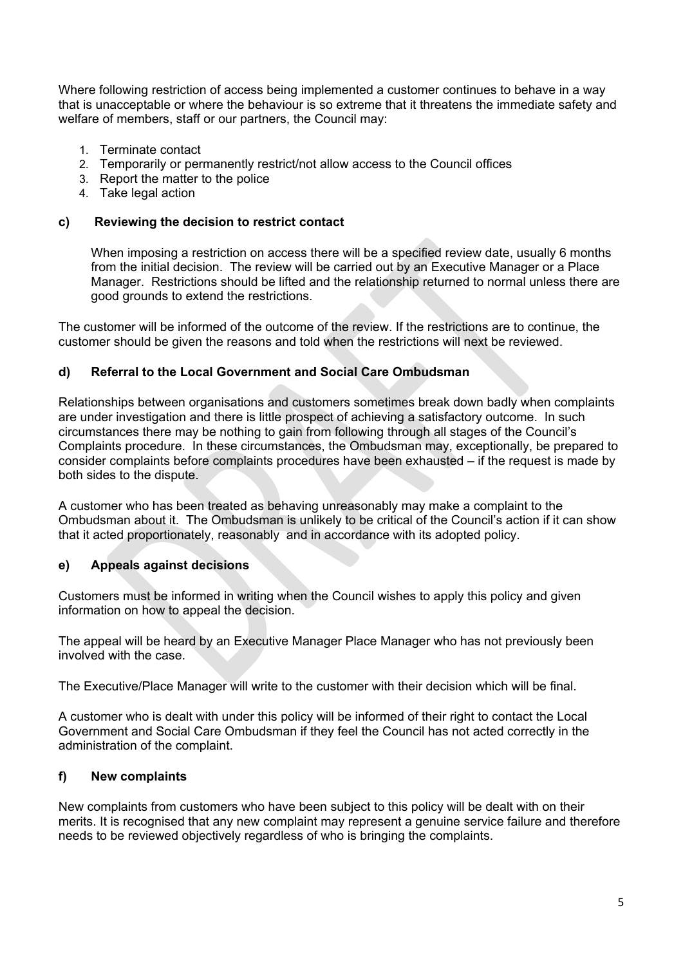Where following restriction of access being implemented a customer continues to behave in a way that is unacceptable or where the behaviour is so extreme that it threatens the immediate safety and welfare of members, staff or our partners, the Council may:

- 1. Terminate contact
- 2. Temporarily or permanently restrict/not allow access to the Council offices
- 3. Report the matter to the police
- 4. Take legal action

#### **c) Reviewing the decision to restrict contact**

When imposing a restriction on access there will be a specified review date, usually 6 months from the initial decision. The review will be carried out by an Executive Manager or a Place Manager. Restrictions should be lifted and the relationship returned to normal unless there are good grounds to extend the restrictions.

The customer will be informed of the outcome of the review. If the restrictions are to continue, the customer should be given the reasons and told when the restrictions will next be reviewed.

### **d) Referral to the Local Government and Social Care Ombudsman**

Relationships between organisations and customers sometimes break down badly when complaints are under investigation and there is little prospect of achieving a satisfactory outcome. In such circumstances there may be nothing to gain from following through all stages of the Council's Complaints procedure. In these circumstances, the Ombudsman may, exceptionally, be prepared to consider complaints before complaints procedures have been exhausted – if the request is made by both sides to the dispute.

A customer who has been treated as behaving unreasonably may make a complaint to the Ombudsman about it. The Ombudsman is unlikely to be critical of the Council's action if it can show that it acted proportionately, reasonably and in accordance with its adopted policy.

#### **e) Appeals against decisions**

Customers must be informed in writing when the Council wishes to apply this policy and given information on how to appeal the decision.

The appeal will be heard by an Executive Manager Place Manager who has not previously been involved with the case.

The Executive/Place Manager will write to the customer with their decision which will be final.

A customer who is dealt with under this policy will be informed of their right to contact the Local Government and Social Care Ombudsman if they feel the Council has not acted correctly in the administration of the complaint.

#### **f) New complaints**

New complaints from customers who have been subject to this policy will be dealt with on their merits. It is recognised that any new complaint may represent a genuine service failure and therefore needs to be reviewed objectively regardless of who is bringing the complaints.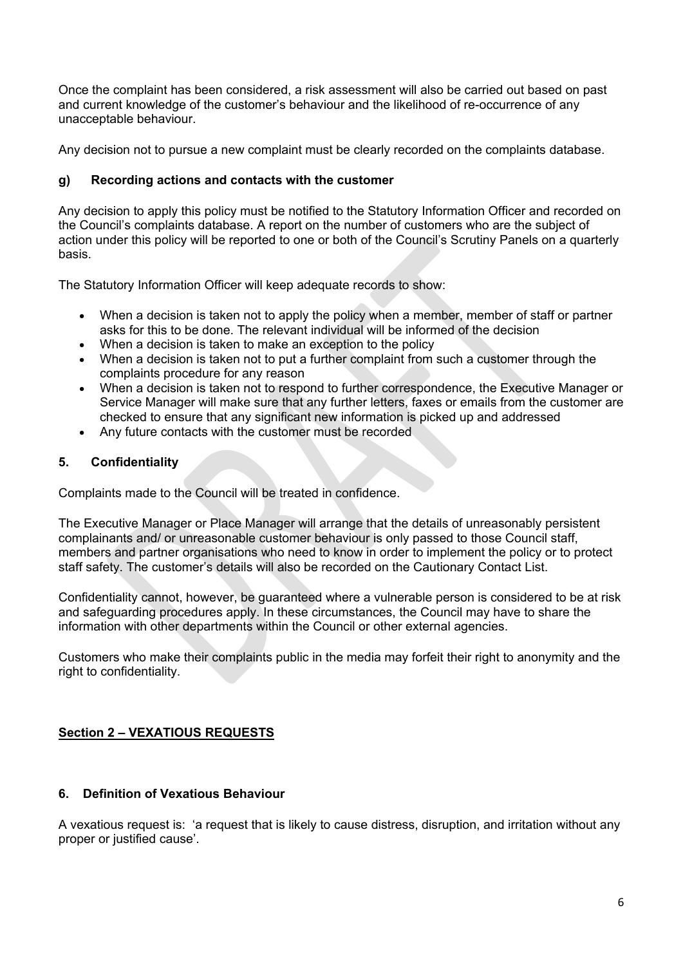Once the complaint has been considered, a risk assessment will also be carried out based on past and current knowledge of the customer's behaviour and the likelihood of re-occurrence of any unacceptable behaviour.

Any decision not to pursue a new complaint must be clearly recorded on the complaints database.

#### **g) Recording actions and contacts with the customer**

Any decision to apply this policy must be notified to the Statutory Information Officer and recorded on the Council's complaints database. A report on the number of customers who are the subject of action under this policy will be reported to one or both of the Council's Scrutiny Panels on a quarterly basis.

The Statutory Information Officer will keep adequate records to show:

- When a decision is taken not to apply the policy when a member, member of staff or partner asks for this to be done. The relevant individual will be informed of the decision
- When a decision is taken to make an exception to the policy
- When a decision is taken not to put a further complaint from such a customer through the complaints procedure for any reason
- When a decision is taken not to respond to further correspondence, the Executive Manager or Service Manager will make sure that any further letters, faxes or emails from the customer are checked to ensure that any significant new information is picked up and addressed
- Any future contacts with the customer must be recorded

# **5. Confidentiality**

Complaints made to the Council will be treated in confidence.

The Executive Manager or Place Manager will arrange that the details of unreasonably persistent complainants and/ or unreasonable customer behaviour is only passed to those Council staff, members and partner organisations who need to know in order to implement the policy or to protect staff safety. The customer's details will also be recorded on the Cautionary Contact List.

Confidentiality cannot, however, be guaranteed where a vulnerable person is considered to be at risk and safeguarding procedures apply. In these circumstances, the Council may have to share the information with other departments within the Council or other external agencies.

Customers who make their complaints public in the media may forfeit their right to anonymity and the right to confidentiality.

# **Section 2 – VEXATIOUS REQUESTS**

#### **6. Definition of Vexatious Behaviour**

A vexatious request is: 'a request that is likely to cause distress, disruption, and irritation without any proper or justified cause'.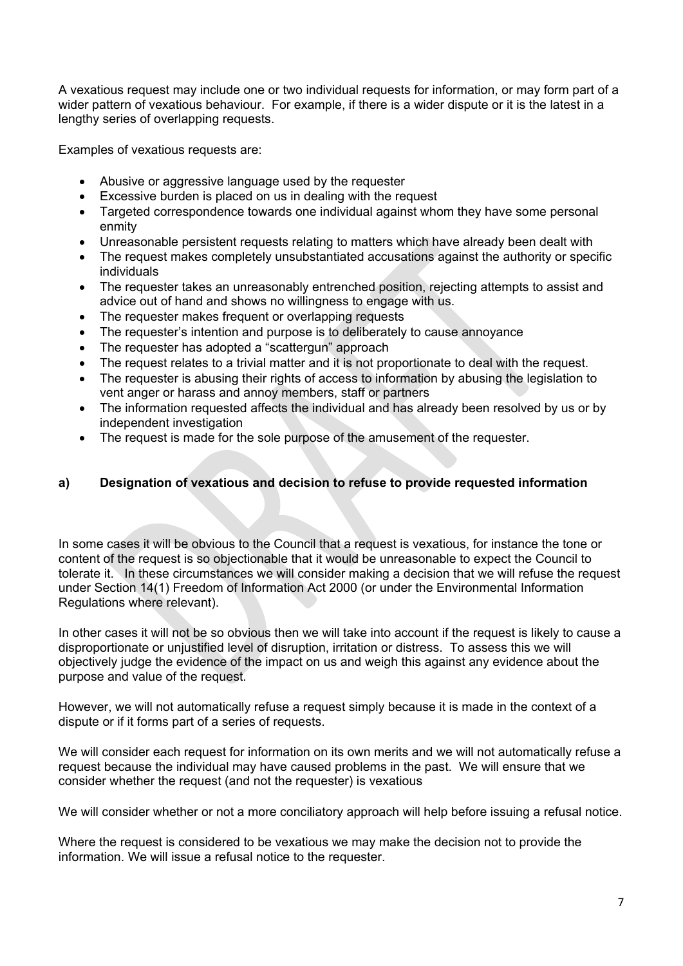A vexatious request may include one or two individual requests for information, or may form part of a wider pattern of vexatious behaviour. For example, if there is a wider dispute or it is the latest in a lengthy series of overlapping requests.

Examples of vexatious requests are:

- Abusive or aggressive language used by the requester
- Excessive burden is placed on us in dealing with the request
- Targeted correspondence towards one individual against whom they have some personal enmity
- Unreasonable persistent requests relating to matters which have already been dealt with
- The request makes completely unsubstantiated accusations against the authority or specific individuals
- The requester takes an unreasonably entrenched position, rejecting attempts to assist and advice out of hand and shows no willingness to engage with us.
- The requester makes frequent or overlapping requests
- The requester's intention and purpose is to deliberately to cause annoyance
- The requester has adopted a "scattergun" approach
- The request relates to a trivial matter and it is not proportionate to deal with the request.
- The requester is abusing their rights of access to information by abusing the legislation to vent anger or harass and annoy members, staff or partners
- The information requested affects the individual and has already been resolved by us or by independent investigation
- The request is made for the sole purpose of the amusement of the requester.

### **a) Designation of vexatious and decision to refuse to provide requested information**

In some cases it will be obvious to the Council that a request is vexatious, for instance the tone or content of the request is so objectionable that it would be unreasonable to expect the Council to tolerate it. In these circumstances we will consider making a decision that we will refuse the request under Section 14(1) Freedom of Information Act 2000 (or under the Environmental Information Regulations where relevant).

In other cases it will not be so obvious then we will take into account if the request is likely to cause a disproportionate or unjustified level of disruption, irritation or distress. To assess this we will objectively judge the evidence of the impact on us and weigh this against any evidence about the purpose and value of the request.

However, we will not automatically refuse a request simply because it is made in the context of a dispute or if it forms part of a series of requests.

We will consider each request for information on its own merits and we will not automatically refuse a request because the individual may have caused problems in the past. We will ensure that we consider whether the request (and not the requester) is vexatious

We will consider whether or not a more conciliatory approach will help before issuing a refusal notice.

Where the request is considered to be vexatious we may make the decision not to provide the information. We will issue a refusal notice to the requester.